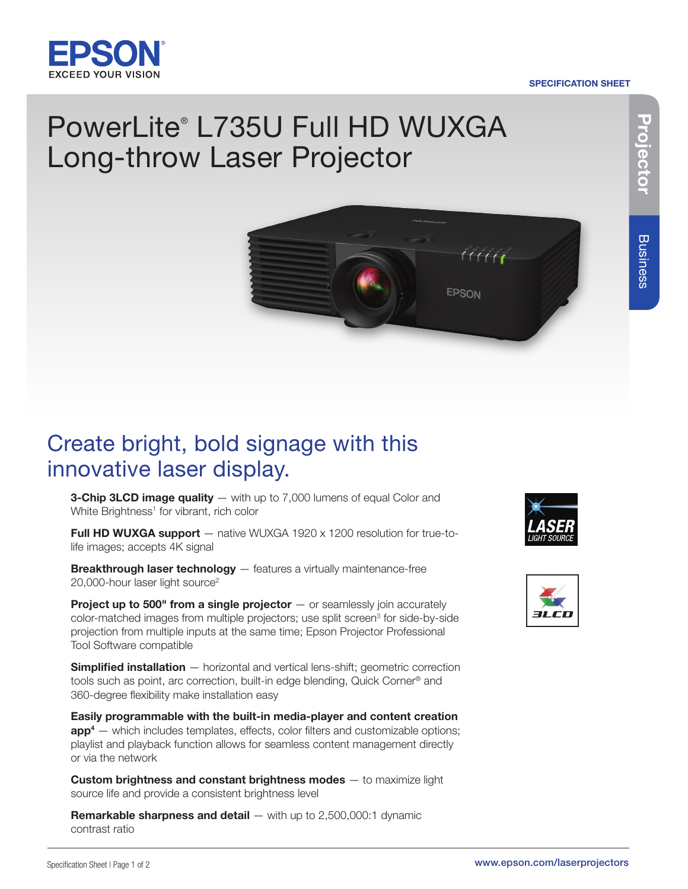

## SPECIFICATION SHEET

# **P r oje c t o r**

## PowerLite® L735U Full HD WUXGA Long-throw Laser Projector

## Create bright, bold signage with this innovative laser display.

**3-Chip 3LCD image quality** — with up to 7,000 lumens of equal Color and White Brightness<sup>1</sup> for vibrant, rich color

Full HD WUXGA support  $-$  native WUXGA 1920 x 1200 resolution for true-tolife images; accepts 4K signal

**Breakthrough laser technology** - features a virtually maintenance-free 20,000-hour laser light source<sup>2</sup>

**Project up to 500" from a single projector**  $-$  or seamlessly join accurately color-matched images from multiple projectors; use split screen<sup>3</sup> for side-by-side projection from multiple inputs at the same time; Epson Projector Professional Tool Software compatible

**Simplified installation** – horizontal and vertical lens-shift; geometric correction tools such as point, arc correction, built-in edge blending, Quick Corner® and 360-degree flexibility make installation easy

Easily programmable with the built-in media-player and content creation  $app<sup>4</sup>$  — which includes templates, effects, color filters and customizable options; playlist and playback function allows for seamless content management directly or via the network

Custom brightness and constant brightness modes — to maximize light source life and provide a consistent brightness level

**Remarkable sharpness and detail**  $-$  with up to 2,500,000:1 dynamic contrast ratio



**EPSON**